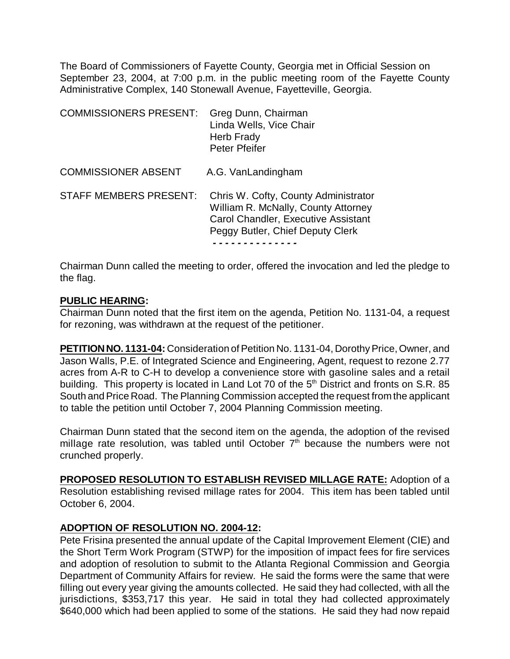The Board of Commissioners of Fayette County, Georgia met in Official Session on September 23, 2004, at 7:00 p.m. in the public meeting room of the Fayette County Administrative Complex, 140 Stonewall Avenue, Fayetteville, Georgia.

| <b>COMMISSIONERS PRESENT:</b> | Greg Dunn, Chairman<br>Linda Wells, Vice Chair<br>Herb Frady<br>Peter Pfeifer                                                                                 |
|-------------------------------|---------------------------------------------------------------------------------------------------------------------------------------------------------------|
| <b>COMMISSIONER ABSENT</b>    | A.G. VanLandingham                                                                                                                                            |
| <b>STAFF MEMBERS PRESENT:</b> | Chris W. Cofty, County Administrator<br>William R. McNally, County Attorney<br><b>Carol Chandler, Executive Assistant</b><br>Peggy Butler, Chief Deputy Clerk |

Chairman Dunn called the meeting to order, offered the invocation and led the pledge to the flag.

### **PUBLIC HEARING:**

Chairman Dunn noted that the first item on the agenda, Petition No. 1131-04, a request for rezoning, was withdrawn at the request of the petitioner.

**PETITION NO. 1131-04:** Consideration of Petition No. 1131-04, Dorothy Price, Owner, and Jason Walls, P.E. of Integrated Science and Engineering, Agent, request to rezone 2.77 acres from A-R to C-H to develop a convenience store with gasoline sales and a retail building. This property is located in Land Lot 70 of the 5<sup>th</sup> District and fronts on S.R. 85 South and Price Road. The Planning Commission accepted the request from the applicant to table the petition until October 7, 2004 Planning Commission meeting.

Chairman Dunn stated that the second item on the agenda, the adoption of the revised millage rate resolution, was tabled until October  $7<sup>th</sup>$  because the numbers were not crunched properly.

**PROPOSED RESOLUTION TO ESTABLISH REVISED MILLAGE RATE:** Adoption of a Resolution establishing revised millage rates for 2004. This item has been tabled until October 6, 2004.

### **ADOPTION OF RESOLUTION NO. 2004-12:**

Pete Frisina presented the annual update of the Capital Improvement Element (CIE) and the Short Term Work Program (STWP) for the imposition of impact fees for fire services and adoption of resolution to submit to the Atlanta Regional Commission and Georgia Department of Community Affairs for review. He said the forms were the same that were filling out every year giving the amounts collected. He said they had collected, with all the jurisdictions, \$353,717 this year. He said in total they had collected approximately \$640,000 which had been applied to some of the stations. He said they had now repaid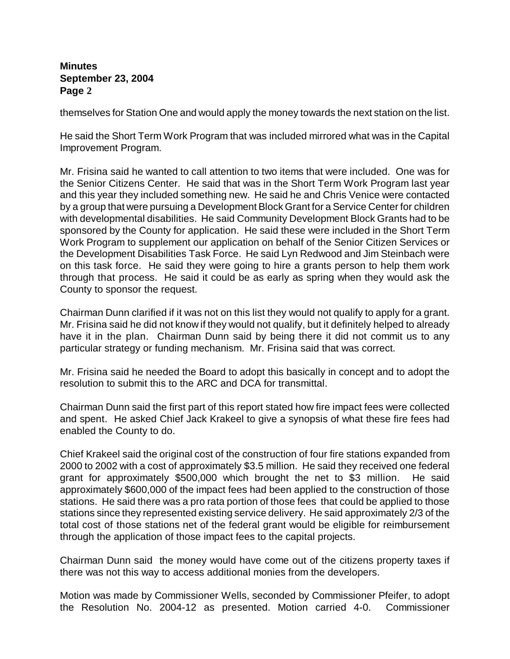themselves for Station One and would apply the money towards the next station on the list.

He said the Short Term Work Program that was included mirrored what was in the Capital Improvement Program.

Mr. Frisina said he wanted to call attention to two items that were included. One was for the Senior Citizens Center. He said that was in the Short Term Work Program last year and this year they included something new. He said he and Chris Venice were contacted by a group that were pursuing a Development Block Grant for a Service Center for children with developmental disabilities. He said Community Development Block Grants had to be sponsored by the County for application. He said these were included in the Short Term Work Program to supplement our application on behalf of the Senior Citizen Services or the Development Disabilities Task Force. He said Lyn Redwood and Jim Steinbach were on this task force. He said they were going to hire a grants person to help them work through that process. He said it could be as early as spring when they would ask the County to sponsor the request.

Chairman Dunn clarified if it was not on this list they would not qualify to apply for a grant. Mr. Frisina said he did not know if they would not qualify, but it definitely helped to already have it in the plan. Chairman Dunn said by being there it did not commit us to any particular strategy or funding mechanism. Mr. Frisina said that was correct.

Mr. Frisina said he needed the Board to adopt this basically in concept and to adopt the resolution to submit this to the ARC and DCA for transmittal.

Chairman Dunn said the first part of this report stated how fire impact fees were collected and spent. He asked Chief Jack Krakeel to give a synopsis of what these fire fees had enabled the County to do.

Chief Krakeel said the original cost of the construction of four fire stations expanded from 2000 to 2002 with a cost of approximately \$3.5 million. He said they received one federal grant for approximately \$500,000 which brought the net to \$3 million. He said approximately \$600,000 of the impact fees had been applied to the construction of those stations. He said there was a pro rata portion of those fees that could be applied to those stations since they represented existing service delivery. He said approximately 2/3 of the total cost of those stations net of the federal grant would be eligible for reimbursement through the application of those impact fees to the capital projects.

Chairman Dunn said the money would have come out of the citizens property taxes if there was not this way to access additional monies from the developers.

Motion was made by Commissioner Wells, seconded by Commissioner Pfeifer, to adopt the Resolution No. 2004-12 as presented. Motion carried 4-0. Commissioner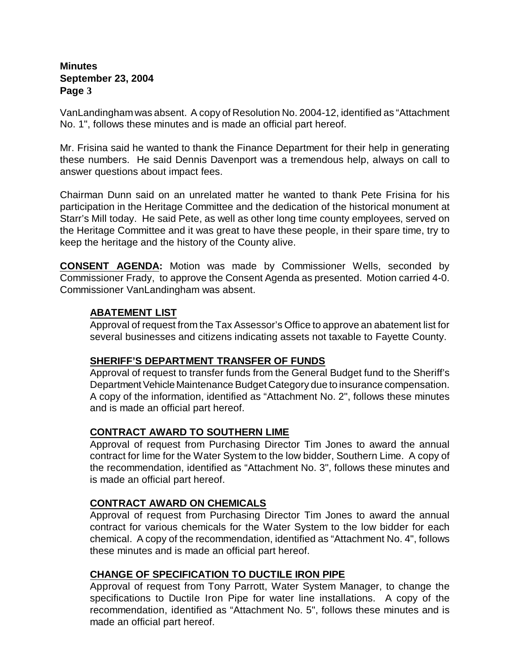VanLandingham was absent. A copy of Resolution No. 2004-12, identified as "Attachment No. 1", follows these minutes and is made an official part hereof.

Mr. Frisina said he wanted to thank the Finance Department for their help in generating these numbers. He said Dennis Davenport was a tremendous help, always on call to answer questions about impact fees.

Chairman Dunn said on an unrelated matter he wanted to thank Pete Frisina for his participation in the Heritage Committee and the dedication of the historical monument at Starr's Mill today. He said Pete, as well as other long time county employees, served on the Heritage Committee and it was great to have these people, in their spare time, try to keep the heritage and the history of the County alive.

**CONSENT AGENDA:** Motion was made by Commissioner Wells, seconded by Commissioner Frady, to approve the Consent Agenda as presented. Motion carried 4-0. Commissioner VanLandingham was absent.

## **ABATEMENT LIST**

Approval of request from the Tax Assessor's Office to approve an abatement list for several businesses and citizens indicating assets not taxable to Fayette County.

### **SHERIFF'S DEPARTMENT TRANSFER OF FUNDS**

Approval of request to transfer funds from the General Budget fund to the Sheriff's Department Vehicle Maintenance Budget Category due to insurance compensation. A copy of the information, identified as "Attachment No. 2", follows these minutes and is made an official part hereof.

# **CONTRACT AWARD TO SOUTHERN LIME**

Approval of request from Purchasing Director Tim Jones to award the annual contract for lime for the Water System to the low bidder, Southern Lime. A copy of the recommendation, identified as "Attachment No. 3", follows these minutes and is made an official part hereof.

### **CONTRACT AWARD ON CHEMICALS**

Approval of request from Purchasing Director Tim Jones to award the annual contract for various chemicals for the Water System to the low bidder for each chemical. A copy of the recommendation, identified as "Attachment No. 4", follows these minutes and is made an official part hereof.

### **CHANGE OF SPECIFICATION TO DUCTILE IRON PIPE**

Approval of request from Tony Parrott, Water System Manager, to change the specifications to Ductile Iron Pipe for water line installations. A copy of the recommendation, identified as "Attachment No. 5", follows these minutes and is made an official part hereof.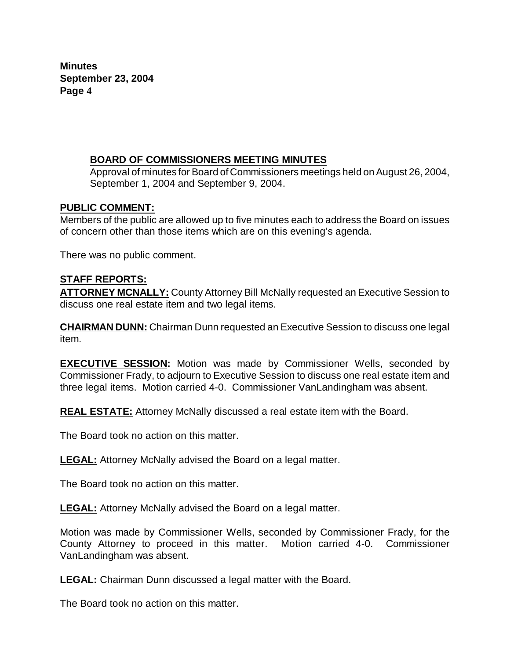## **BOARD OF COMMISSIONERS MEETING MINUTES**

Approval of minutes for Board of Commissioners meetings held on August 26, 2004, September 1, 2004 and September 9, 2004.

### **PUBLIC COMMENT:**

Members of the public are allowed up to five minutes each to address the Board on issues of concern other than those items which are on this evening's agenda.

There was no public comment.

# **STAFF REPORTS:**

**ATTORNEY MCNALLY:** County Attorney Bill McNally requested an Executive Session to discuss one real estate item and two legal items.

**CHAIRMAN DUNN:** Chairman Dunn requested an Executive Session to discuss one legal item.

**EXECUTIVE SESSION:** Motion was made by Commissioner Wells, seconded by Commissioner Frady, to adjourn to Executive Session to discuss one real estate item and three legal items. Motion carried 4-0. Commissioner VanLandingham was absent.

**REAL ESTATE:** Attorney McNally discussed a real estate item with the Board.

The Board took no action on this matter.

**LEGAL:** Attorney McNally advised the Board on a legal matter.

The Board took no action on this matter.

**LEGAL:** Attorney McNally advised the Board on a legal matter.

Motion was made by Commissioner Wells, seconded by Commissioner Frady, for the County Attorney to proceed in this matter. Motion carried 4-0. Commissioner VanLandingham was absent.

**LEGAL:** Chairman Dunn discussed a legal matter with the Board.

The Board took no action on this matter.